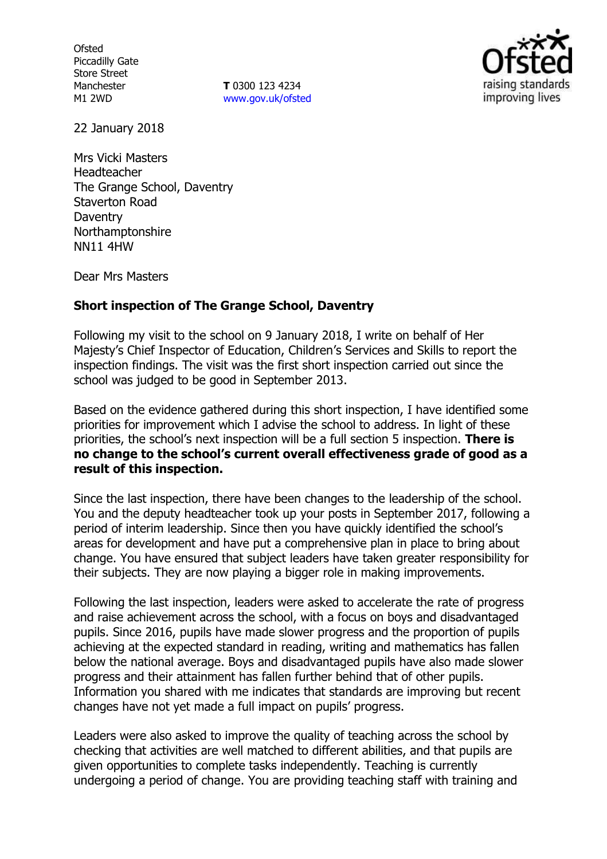**Ofsted** Piccadilly Gate Store Street Manchester M1 2WD

**T** 0300 123 4234 www.gov.uk/ofsted



22 January 2018

Mrs Vicki Masters Headteacher The Grange School, Daventry Staverton Road **Daventry** Northamptonshire NN11 4HW

Dear Mrs Masters

## **Short inspection of The Grange School, Daventry**

Following my visit to the school on 9 January 2018, I write on behalf of Her Majesty's Chief Inspector of Education, Children's Services and Skills to report the inspection findings. The visit was the first short inspection carried out since the school was judged to be good in September 2013.

Based on the evidence gathered during this short inspection, I have identified some priorities for improvement which I advise the school to address. In light of these priorities, the school's next inspection will be a full section 5 inspection. **There is no change to the school's current overall effectiveness grade of good as a result of this inspection.**

Since the last inspection, there have been changes to the leadership of the school. You and the deputy headteacher took up your posts in September 2017, following a period of interim leadership. Since then you have quickly identified the school's areas for development and have put a comprehensive plan in place to bring about change. You have ensured that subject leaders have taken greater responsibility for their subjects. They are now playing a bigger role in making improvements.

Following the last inspection, leaders were asked to accelerate the rate of progress and raise achievement across the school, with a focus on boys and disadvantaged pupils. Since 2016, pupils have made slower progress and the proportion of pupils achieving at the expected standard in reading, writing and mathematics has fallen below the national average. Boys and disadvantaged pupils have also made slower progress and their attainment has fallen further behind that of other pupils. Information you shared with me indicates that standards are improving but recent changes have not yet made a full impact on pupils' progress.

Leaders were also asked to improve the quality of teaching across the school by checking that activities are well matched to different abilities, and that pupils are given opportunities to complete tasks independently. Teaching is currently undergoing a period of change. You are providing teaching staff with training and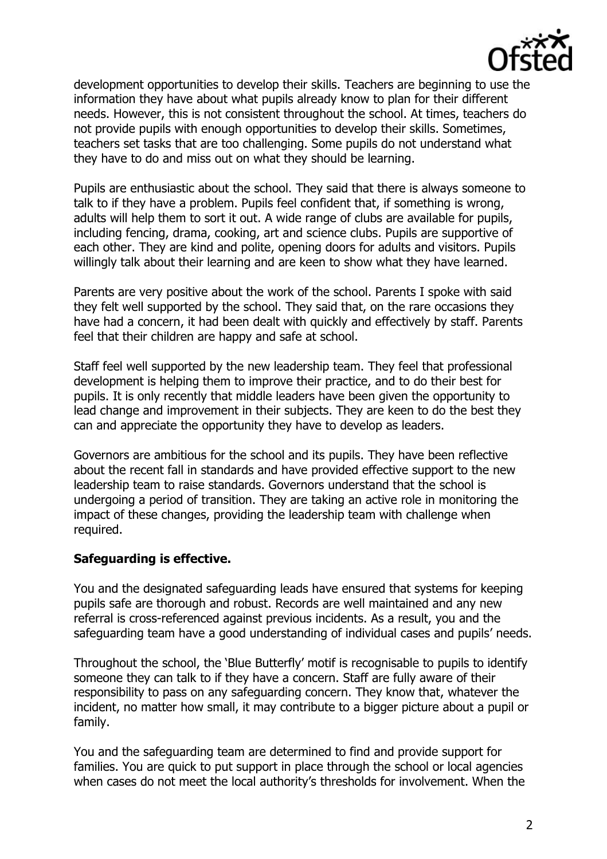

development opportunities to develop their skills. Teachers are beginning to use the information they have about what pupils already know to plan for their different needs. However, this is not consistent throughout the school. At times, teachers do not provide pupils with enough opportunities to develop their skills. Sometimes, teachers set tasks that are too challenging. Some pupils do not understand what they have to do and miss out on what they should be learning.

Pupils are enthusiastic about the school. They said that there is always someone to talk to if they have a problem. Pupils feel confident that, if something is wrong, adults will help them to sort it out. A wide range of clubs are available for pupils, including fencing, drama, cooking, art and science clubs. Pupils are supportive of each other. They are kind and polite, opening doors for adults and visitors. Pupils willingly talk about their learning and are keen to show what they have learned.

Parents are very positive about the work of the school. Parents I spoke with said they felt well supported by the school. They said that, on the rare occasions they have had a concern, it had been dealt with quickly and effectively by staff. Parents feel that their children are happy and safe at school.

Staff feel well supported by the new leadership team. They feel that professional development is helping them to improve their practice, and to do their best for pupils. It is only recently that middle leaders have been given the opportunity to lead change and improvement in their subjects. They are keen to do the best they can and appreciate the opportunity they have to develop as leaders.

Governors are ambitious for the school and its pupils. They have been reflective about the recent fall in standards and have provided effective support to the new leadership team to raise standards. Governors understand that the school is undergoing a period of transition. They are taking an active role in monitoring the impact of these changes, providing the leadership team with challenge when required.

## **Safeguarding is effective.**

You and the designated safeguarding leads have ensured that systems for keeping pupils safe are thorough and robust. Records are well maintained and any new referral is cross-referenced against previous incidents. As a result, you and the safeguarding team have a good understanding of individual cases and pupils' needs.

Throughout the school, the 'Blue Butterfly' motif is recognisable to pupils to identify someone they can talk to if they have a concern. Staff are fully aware of their responsibility to pass on any safeguarding concern. They know that, whatever the incident, no matter how small, it may contribute to a bigger picture about a pupil or family.

You and the safeguarding team are determined to find and provide support for families. You are quick to put support in place through the school or local agencies when cases do not meet the local authority's thresholds for involvement. When the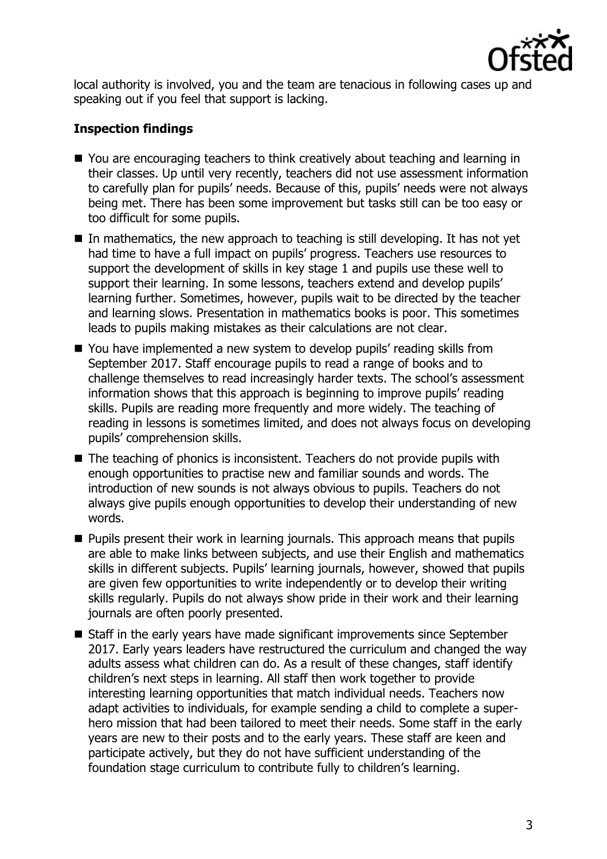

local authority is involved, you and the team are tenacious in following cases up and speaking out if you feel that support is lacking.

# **Inspection findings**

- You are encouraging teachers to think creatively about teaching and learning in their classes. Up until very recently, teachers did not use assessment information to carefully plan for pupils' needs. Because of this, pupils' needs were not always being met. There has been some improvement but tasks still can be too easy or too difficult for some pupils.
- In mathematics, the new approach to teaching is still developing. It has not yet had time to have a full impact on pupils' progress. Teachers use resources to support the development of skills in key stage 1 and pupils use these well to support their learning. In some lessons, teachers extend and develop pupils' learning further. Sometimes, however, pupils wait to be directed by the teacher and learning slows. Presentation in mathematics books is poor. This sometimes leads to pupils making mistakes as their calculations are not clear.
- You have implemented a new system to develop pupils' reading skills from September 2017. Staff encourage pupils to read a range of books and to challenge themselves to read increasingly harder texts. The school's assessment information shows that this approach is beginning to improve pupils' reading skills. Pupils are reading more frequently and more widely. The teaching of reading in lessons is sometimes limited, and does not always focus on developing pupils' comprehension skills.
- The teaching of phonics is inconsistent. Teachers do not provide pupils with enough opportunities to practise new and familiar sounds and words. The introduction of new sounds is not always obvious to pupils. Teachers do not always give pupils enough opportunities to develop their understanding of new words.
- **Pupils present their work in learning journals. This approach means that pupils** are able to make links between subjects, and use their English and mathematics skills in different subjects. Pupils' learning journals, however, showed that pupils are given few opportunities to write independently or to develop their writing skills regularly. Pupils do not always show pride in their work and their learning journals are often poorly presented.
- Staff in the early years have made significant improvements since September 2017. Early years leaders have restructured the curriculum and changed the way adults assess what children can do. As a result of these changes, staff identify children's next steps in learning. All staff then work together to provide interesting learning opportunities that match individual needs. Teachers now adapt activities to individuals, for example sending a child to complete a superhero mission that had been tailored to meet their needs. Some staff in the early years are new to their posts and to the early years. These staff are keen and participate actively, but they do not have sufficient understanding of the foundation stage curriculum to contribute fully to children's learning.